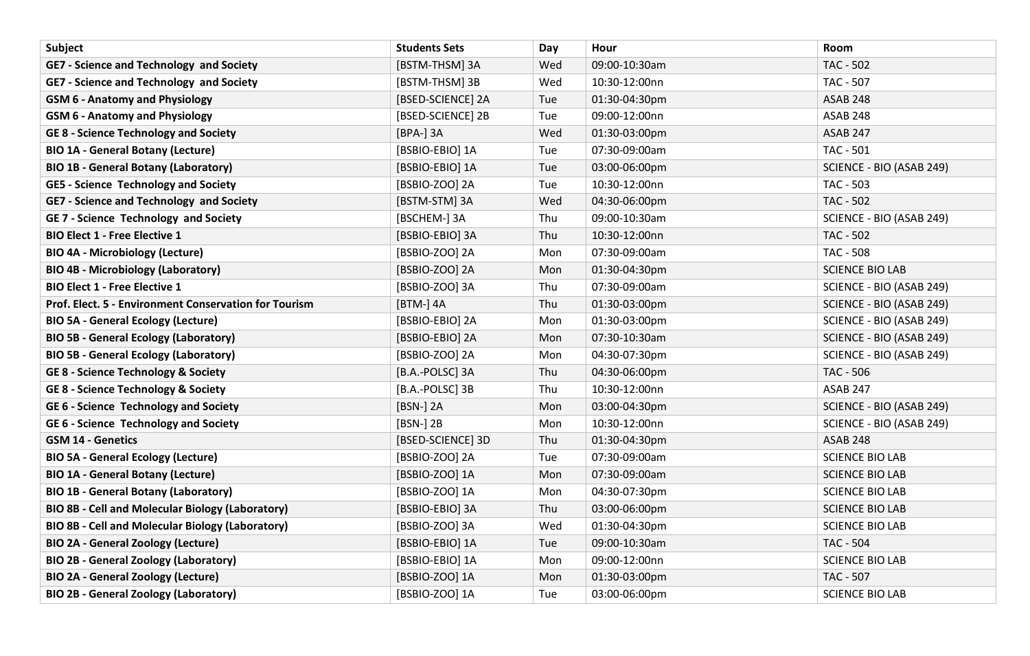| Subject                                                 | <b>Students Sets</b> | Day | Hour          | Room                     |
|---------------------------------------------------------|----------------------|-----|---------------|--------------------------|
| <b>GE7 - Science and Technology and Society</b>         | [BSTM-THSM] 3A       | Wed | 09:00-10:30am | <b>TAC - 502</b>         |
| <b>GE7 - Science and Technology and Society</b>         | [BSTM-THSM] 3B       | Wed | 10:30-12:00nn | TAC - 507                |
| <b>GSM 6 - Anatomy and Physiology</b>                   | [BSED-SCIENCE] 2A    | Tue | 01:30-04:30pm | <b>ASAB 248</b>          |
| <b>GSM 6 - Anatomy and Physiology</b>                   | [BSED-SCIENCE] 2B    | Tue | 09:00-12:00nn | <b>ASAB 248</b>          |
| <b>GE 8 - Science Technology and Society</b>            | [BPA-] 3A            | Wed | 01:30-03:00pm | <b>ASAB 247</b>          |
| <b>BIO 1A - General Botany (Lecture)</b>                | [BSBIO-EBIO] 1A      | Tue | 07:30-09:00am | <b>TAC - 501</b>         |
| <b>BIO 1B - General Botany (Laboratory)</b>             | [BSBIO-EBIO] 1A      | Tue | 03:00-06:00pm | SCIENCE - BIO (ASAB 249) |
| <b>GE5 - Science Technology and Society</b>             | [BSBIO-ZOO] 2A       | Tue | 10:30-12:00nn | TAC - 503                |
| GE7 - Science and Technology and Society                | [BSTM-STM] 3A        | Wed | 04:30-06:00pm | <b>TAC - 502</b>         |
| <b>GE 7 - Science Technology and Society</b>            | [BSCHEM-] 3A         | Thu | 09:00-10:30am | SCIENCE - BIO (ASAB 249) |
| <b>BIO Elect 1 - Free Elective 1</b>                    | [BSBIO-EBIO] 3A      | Thu | 10:30-12:00nn | <b>TAC - 502</b>         |
| <b>BIO 4A - Microbiology (Lecture)</b>                  | [BSBIO-ZOO] 2A       | Mon | 07:30-09:00am | <b>TAC - 508</b>         |
| <b>BIO 4B - Microbiology (Laboratory)</b>               | [BSBIO-ZOO] 2A       | Mon | 01:30-04:30pm | <b>SCIENCE BIO LAB</b>   |
| <b>BIO Elect 1 - Free Elective 1</b>                    | [BSBIO-ZOO] 3A       | Thu | 07:30-09:00am | SCIENCE - BIO (ASAB 249) |
| Prof. Elect. 5 - Environment Conservation for Tourism   | [BTM-] 4A            | Thu | 01:30-03:00pm | SCIENCE - BIO (ASAB 249) |
| <b>BIO 5A - General Ecology (Lecture)</b>               | [BSBIO-EBIO] 2A      | Mon | 01:30-03:00pm | SCIENCE - BIO (ASAB 249) |
| <b>BIO 5B - General Ecology (Laboratory)</b>            | [BSBIO-EBIO] 2A      | Mon | 07:30-10:30am | SCIENCE - BIO (ASAB 249) |
| <b>BIO 5B - General Ecology (Laboratory)</b>            | [BSBIO-ZOO] 2A       | Mon | 04:30-07:30pm | SCIENCE - BIO (ASAB 249) |
| <b>GE 8 - Science Technology &amp; Society</b>          | [B.A.-POLSC] 3A      | Thu | 04:30-06:00pm | TAC - 506                |
| <b>GE 8 - Science Technology &amp; Society</b>          | [B.A.-POLSC] 3B      | Thu | 10:30-12:00nn | <b>ASAB 247</b>          |
| GE 6 - Science Technology and Society                   | [BSN-] 2A            | Mon | 03:00-04:30pm | SCIENCE - BIO (ASAB 249) |
| GE 6 - Science Technology and Society                   | [BSN-] 2B            | Mon | 10:30-12:00nn | SCIENCE - BIO (ASAB 249) |
| <b>GSM 14 - Genetics</b>                                | [BSED-SCIENCE] 3D    | Thu | 01:30-04:30pm | <b>ASAB 248</b>          |
| <b>BIO 5A - General Ecology (Lecture)</b>               | [BSBIO-ZOO] 2A       | Tue | 07:30-09:00am | <b>SCIENCE BIO LAB</b>   |
| <b>BIO 1A - General Botany (Lecture)</b>                | [BSBIO-ZOO] 1A       | Mon | 07:30-09:00am | <b>SCIENCE BIO LAB</b>   |
| <b>BIO 1B - General Botany (Laboratory)</b>             | [BSBIO-ZOO] 1A       | Mon | 04:30-07:30pm | <b>SCIENCE BIO LAB</b>   |
| <b>BIO 8B - Cell and Molecular Biology (Laboratory)</b> | [BSBIO-EBIO] 3A      | Thu | 03:00-06:00pm | <b>SCIENCE BIO LAB</b>   |
| <b>BIO 8B - Cell and Molecular Biology (Laboratory)</b> | [BSBIO-ZOO] 3A       | Wed | 01:30-04:30pm | <b>SCIENCE BIO LAB</b>   |
| <b>BIO 2A - General Zoology (Lecture)</b>               | [BSBIO-EBIO] 1A      | Tue | 09:00-10:30am | <b>TAC - 504</b>         |
| <b>BIO 2B - General Zoology (Laboratory)</b>            | [BSBIO-EBIO] 1A      | Mon | 09:00-12:00nn | <b>SCIENCE BIO LAB</b>   |
| <b>BIO 2A - General Zoology (Lecture)</b>               | [BSBIO-ZOO] 1A       | Mon | 01:30-03:00pm | TAC - 507                |
| <b>BIO 2B - General Zoology (Laboratory)</b>            | [BSBIO-ZOO] 1A       | Tue | 03:00-06:00pm | <b>SCIENCE BIO LAB</b>   |